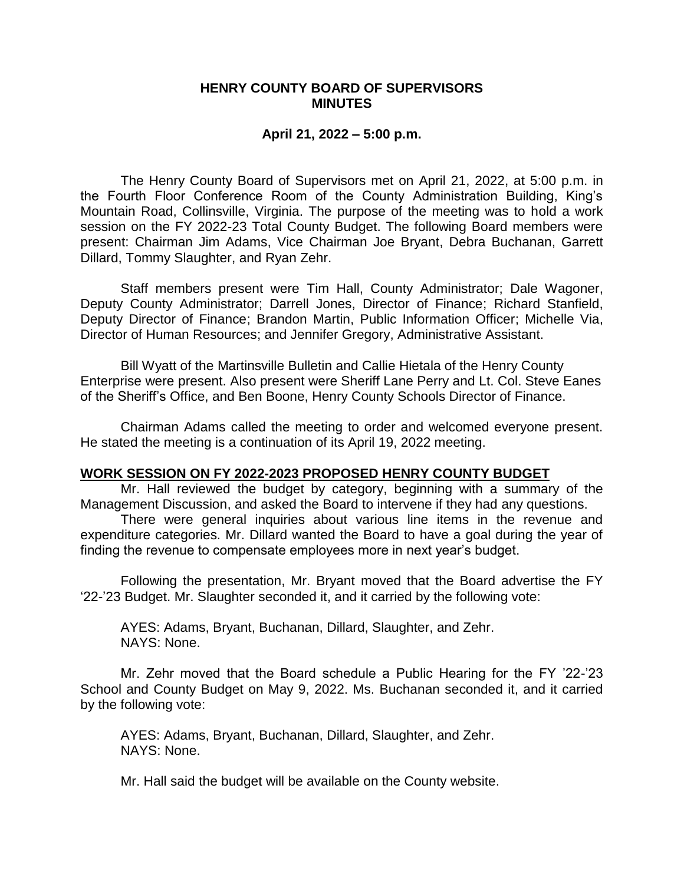## **HENRY COUNTY BOARD OF SUPERVISORS MINUTES**

## **April 21, 2022 – 5:00 p.m.**

The Henry County Board of Supervisors met on April 21, 2022, at 5:00 p.m. in the Fourth Floor Conference Room of the County Administration Building, King's Mountain Road, Collinsville, Virginia. The purpose of the meeting was to hold a work session on the FY 2022-23 Total County Budget. The following Board members were present: Chairman Jim Adams, Vice Chairman Joe Bryant, Debra Buchanan, Garrett Dillard, Tommy Slaughter, and Ryan Zehr.

Staff members present were Tim Hall, County Administrator; Dale Wagoner, Deputy County Administrator; Darrell Jones, Director of Finance; Richard Stanfield, Deputy Director of Finance; Brandon Martin, Public Information Officer; Michelle Via, Director of Human Resources; and Jennifer Gregory, Administrative Assistant.

Bill Wyatt of the Martinsville Bulletin and Callie Hietala of the Henry County Enterprise were present. Also present were Sheriff Lane Perry and Lt. Col. Steve Eanes of the Sheriff's Office, and Ben Boone, Henry County Schools Director of Finance.

Chairman Adams called the meeting to order and welcomed everyone present. He stated the meeting is a continuation of its April 19, 2022 meeting.

## **WORK SESSION ON FY 2022-2023 PROPOSED HENRY COUNTY BUDGET**

Mr. Hall reviewed the budget by category, beginning with a summary of the Management Discussion, and asked the Board to intervene if they had any questions.

There were general inquiries about various line items in the revenue and expenditure categories. Mr. Dillard wanted the Board to have a goal during the year of finding the revenue to compensate employees more in next year's budget.

Following the presentation, Mr. Bryant moved that the Board advertise the FY '22-'23 Budget. Mr. Slaughter seconded it, and it carried by the following vote:

AYES: Adams, Bryant, Buchanan, Dillard, Slaughter, and Zehr. NAYS: None.

Mr. Zehr moved that the Board schedule a Public Hearing for the FY '22-'23 School and County Budget on May 9, 2022. Ms. Buchanan seconded it, and it carried by the following vote:

AYES: Adams, Bryant, Buchanan, Dillard, Slaughter, and Zehr. NAYS: None.

Mr. Hall said the budget will be available on the County website.